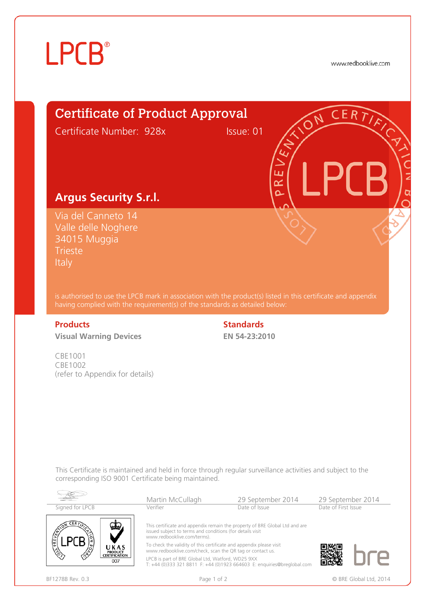# **LPCB**<sup>®</sup>

www.redbooklive.com



Valle delle Noghere 34015 Muggia **Trieste** Italy

is authorised to use the LPCB mark in association with the product(s) listed in this certificate and appendix having complied with the requirement(s) of the standards as detailed below:

**Visual Warning Devices**

CBE1001 CBE1002 (refer to Appendix for details)

## **Products Standards**

**EN 54-23:2010**

This Certificate is maintained and held in force through regular surveillance activities and subject to the corresponding ISO 9001 Certificate being maintained.

| Signed for LPCB                                       | 29 September 2014<br>Martin McCullagh<br>Date of Issue<br>Verifier                                                                                                                                                                                                                                                                                                                                                                          |  | 29 September 2014<br>Date of First Issue |  |
|-------------------------------------------------------|---------------------------------------------------------------------------------------------------------------------------------------------------------------------------------------------------------------------------------------------------------------------------------------------------------------------------------------------------------------------------------------------------------------------------------------------|--|------------------------------------------|--|
| UKAS<br><b>PRODUCT</b><br><b>CERTIFICATION</b><br>007 | This certificate and appendix remain the property of BRE Global Ltd and are<br>issued subject to terms and conditions (for details visit<br>www.redbooklive.com/terms).<br>To check the validity of this certificate and appendix please visit<br>www.redbooklive.com/check, scan the QR tag or contact us.<br>LPCB is part of BRE Global Ltd, Watford, WD25 9XX<br>T: +44 (0)333 321 8811 F: +44 (0)1923 664603 E: enquiries@breglobal.com |  |                                          |  |



BF1278B Rev. 0.3 **Page 1 of 2** Page 1 of 2 **Page 1 of 2** © BRE Global Ltd, 2014